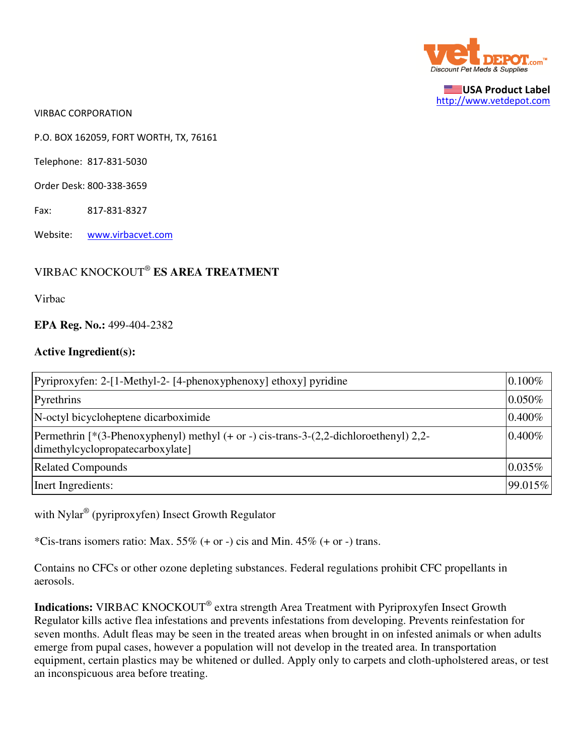

USA Product Label http://www.vetdepot.com

VIRBAC CORPORATION

P.O. BOX 162059, FORT WORTH, TX, 76161

Telephone: 817-831-5030

Order Desk: 800-338-3659

Fax: 817-831-8327

Website: www.virbacvet.com

## VIRBAC KNOCKOUT®  **ES AREA TREATMENT**

Virbac

## **EPA Reg. No.:** 499-404-2382

## **Active Ingredient(s):**

| Pyriproxyfen: 2-[1-Methyl-2- [4-phenoxyphenoxy] ethoxy] pyridine                                                                  | 0.100%    |
|-----------------------------------------------------------------------------------------------------------------------------------|-----------|
| Pyrethrins                                                                                                                        | 0.050%    |
| N-octyl bicycloheptene dicarboximide                                                                                              | 0.400%    |
| Permethrin $[*(3-Phenoxyphenyl)$ methyl $(+ or -)$ cis-trans-3- $(2,2$ -dichloroethenyl) 2,2-<br>dimethylcyclopropatecarboxylate] | $0.400\%$ |
| <b>Related Compounds</b>                                                                                                          | 0.035%    |
| Inert Ingredients:                                                                                                                | 99.015%   |

with Nylar® (pyriproxyfen) Insect Growth Regulator

\*Cis-trans isomers ratio: Max.  $55\%$  (+ or -) cis and Min.  $45\%$  (+ or -) trans.

Contains no CFCs or other ozone depleting substances. Federal regulations prohibit CFC propellants in aerosols.

Indications: VIRBAC KNOCKOUT<sup>®</sup> extra strength Area Treatment with Pyriproxyfen Insect Growth Regulator kills active flea infestations and prevents infestations from developing. Prevents reinfestation for seven months. Adult fleas may be seen in the treated areas when brought in on infested animals or when adults emerge from pupal cases, however a population will not develop in the treated area. In transportation equipment, certain plastics may be whitened or dulled. Apply only to carpets and cloth-upholstered areas, or test an inconspicuous area before treating.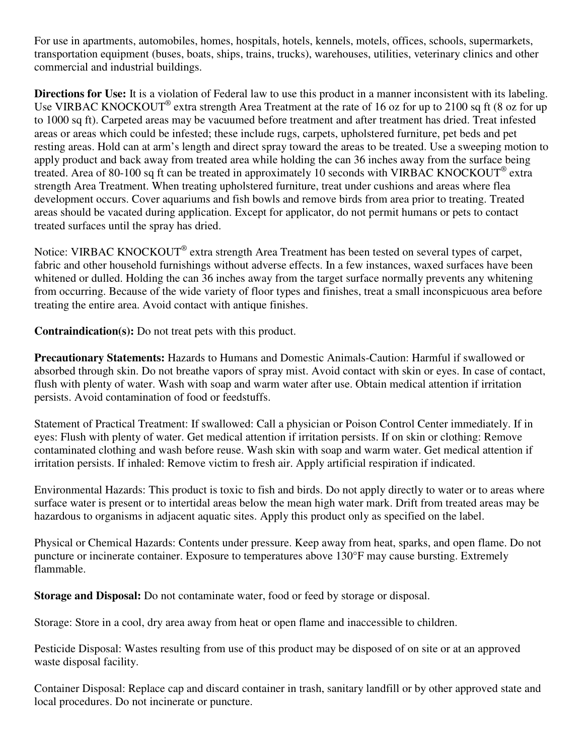For use in apartments, automobiles, homes, hospitals, hotels, kennels, motels, offices, schools, supermarkets, transportation equipment (buses, boats, ships, trains, trucks), warehouses, utilities, veterinary clinics and other commercial and industrial buildings.

**Directions for Use:** It is a violation of Federal law to use this product in a manner inconsistent with its labeling. Use VIRBAC KNOCKOUT<sup>®</sup> extra strength Area Treatment at the rate of 16 oz for up to 2100 sq ft (8 oz for up to 1000 sq ft). Carpeted areas may be vacuumed before treatment and after treatment has dried. Treat infested areas or areas which could be infested; these include rugs, carpets, upholstered furniture, pet beds and pet resting areas. Hold can at arm's length and direct spray toward the areas to be treated. Use a sweeping motion to apply product and back away from treated area while holding the can 36 inches away from the surface being treated. Area of 80-100 sq ft can be treated in approximately 10 seconds with VIRBAC KNOCKOUT® extra strength Area Treatment. When treating upholstered furniture, treat under cushions and areas where flea development occurs. Cover aquariums and fish bowls and remove birds from area prior to treating. Treated areas should be vacated during application. Except for applicator, do not permit humans or pets to contact treated surfaces until the spray has dried.

Notice: VIRBAC KNOCKOUT® extra strength Area Treatment has been tested on several types of carpet, fabric and other household furnishings without adverse effects. In a few instances, waxed surfaces have been whitened or dulled. Holding the can 36 inches away from the target surface normally prevents any whitening from occurring. Because of the wide variety of floor types and finishes, treat a small inconspicuous area before treating the entire area. Avoid contact with antique finishes.

**Contraindication(s):** Do not treat pets with this product.

**Precautionary Statements:** Hazards to Humans and Domestic Animals-Caution: Harmful if swallowed or absorbed through skin. Do not breathe vapors of spray mist. Avoid contact with skin or eyes. In case of contact, flush with plenty of water. Wash with soap and warm water after use. Obtain medical attention if irritation persists. Avoid contamination of food or feedstuffs.

Statement of Practical Treatment: If swallowed: Call a physician or Poison Control Center immediately. If in eyes: Flush with plenty of water. Get medical attention if irritation persists. If on skin or clothing: Remove contaminated clothing and wash before reuse. Wash skin with soap and warm water. Get medical attention if irritation persists. If inhaled: Remove victim to fresh air. Apply artificial respiration if indicated.

Environmental Hazards: This product is toxic to fish and birds. Do not apply directly to water or to areas where surface water is present or to intertidal areas below the mean high water mark. Drift from treated areas may be hazardous to organisms in adjacent aquatic sites. Apply this product only as specified on the label.

Physical or Chemical Hazards: Contents under pressure. Keep away from heat, sparks, and open flame. Do not puncture or incinerate container. Exposure to temperatures above 130°F may cause bursting. Extremely flammable.

**Storage and Disposal:** Do not contaminate water, food or feed by storage or disposal.

Storage: Store in a cool, dry area away from heat or open flame and inaccessible to children.

Pesticide Disposal: Wastes resulting from use of this product may be disposed of on site or at an approved waste disposal facility.

Container Disposal: Replace cap and discard container in trash, sanitary landfill or by other approved state and local procedures. Do not incinerate or puncture.